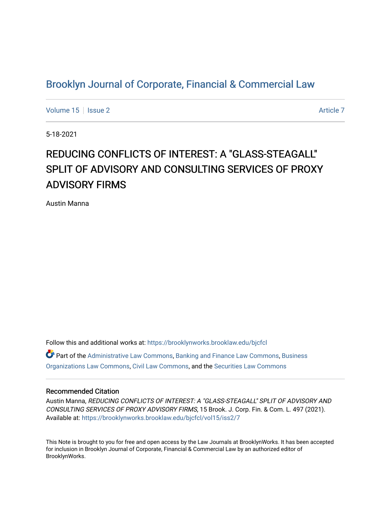## [Brooklyn Journal of Corporate, Financial & Commercial Law](https://brooklynworks.brooklaw.edu/bjcfcl)

[Volume 15](https://brooklynworks.brooklaw.edu/bjcfcl/vol15) Setsue 2 [Article 7](https://brooklynworks.brooklaw.edu/bjcfcl/vol15/iss2/7) Article 7 Article 7

5-18-2021

# REDUCING CONFLICTS OF INTEREST: A "GLASS-STEAGALL" SPLIT OF ADVISORY AND CONSULTING SERVICES OF PROXY ADVISORY FIRMS

Austin Manna

Follow this and additional works at: [https://brooklynworks.brooklaw.edu/bjcfcl](https://brooklynworks.brooklaw.edu/bjcfcl?utm_source=brooklynworks.brooklaw.edu%2Fbjcfcl%2Fvol15%2Fiss2%2F7&utm_medium=PDF&utm_campaign=PDFCoverPages)  $\bullet$  Part of the [Administrative Law Commons,](http://network.bepress.com/hgg/discipline/579?utm_source=brooklynworks.brooklaw.edu%2Fbjcfcl%2Fvol15%2Fiss2%2F7&utm_medium=PDF&utm_campaign=PDFCoverPages) [Banking and Finance Law Commons,](http://network.bepress.com/hgg/discipline/833?utm_source=brooklynworks.brooklaw.edu%2Fbjcfcl%2Fvol15%2Fiss2%2F7&utm_medium=PDF&utm_campaign=PDFCoverPages) Business [Organizations Law Commons](http://network.bepress.com/hgg/discipline/900?utm_source=brooklynworks.brooklaw.edu%2Fbjcfcl%2Fvol15%2Fiss2%2F7&utm_medium=PDF&utm_campaign=PDFCoverPages), [Civil Law Commons,](http://network.bepress.com/hgg/discipline/835?utm_source=brooklynworks.brooklaw.edu%2Fbjcfcl%2Fvol15%2Fiss2%2F7&utm_medium=PDF&utm_campaign=PDFCoverPages) and the [Securities Law Commons](http://network.bepress.com/hgg/discipline/619?utm_source=brooklynworks.brooklaw.edu%2Fbjcfcl%2Fvol15%2Fiss2%2F7&utm_medium=PDF&utm_campaign=PDFCoverPages) 

## Recommended Citation

Austin Manna, REDUCING CONFLICTS OF INTEREST: A "GLASS-STEAGALL" SPLIT OF ADVISORY AND CONSULTING SERVICES OF PROXY ADVISORY FIRMS, 15 Brook. J. Corp. Fin. & Com. L. 497 (2021). Available at: [https://brooklynworks.brooklaw.edu/bjcfcl/vol15/iss2/7](https://brooklynworks.brooklaw.edu/bjcfcl/vol15/iss2/7?utm_source=brooklynworks.brooklaw.edu%2Fbjcfcl%2Fvol15%2Fiss2%2F7&utm_medium=PDF&utm_campaign=PDFCoverPages)

This Note is brought to you for free and open access by the Law Journals at BrooklynWorks. It has been accepted for inclusion in Brooklyn Journal of Corporate, Financial & Commercial Law by an authorized editor of BrooklynWorks.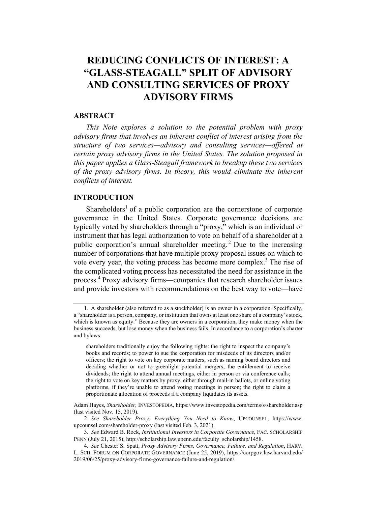## REDUCING CONFLICTS OF INTEREST: A "GLASS-STEAGALL" SPLIT OF ADVISORY AND CONSULTING SERVICES OF PROXY ADVISORY FIRMS

## ABSTRACT

This Note explores a solution to the potential problem with proxy advisory firms that involves an inherent conflict of interest arising from the structure of two services—advisory and consulting services—offered at certain proxy advisory firms in the United States. The solution proposed in this paper applies a Glass-Steagall framework to breakup these two services of the proxy advisory firms. In theory, this would eliminate the inherent conflicts of interest.

## INTRODUCTION

Shareholders<sup>1</sup> of a public corporation are the cornerstone of corporate governance in the United States. Corporate governance decisions are typically voted by shareholders through a "proxy," which is an individual or instrument that has legal authorization to vote on behalf of a shareholder at a public corporation's annual shareholder meeting. <sup>2</sup> Due to the increasing number of corporations that have multiple proxy proposal issues on which to vote every year, the voting process has become more complex.<sup>3</sup> The rise of the complicated voting process has necessitated the need for assistance in the process.<sup>4</sup> Proxy advisory firms—companies that research shareholder issues and provide investors with recommendations on the best way to vote—have

2. See Shareholder Proxy: Everything You Need to Know, UPCOUNSEL, https://www. upcounsel.com/shareholder-proxy (last visited Feb. 3, 2021).

<sup>1.</sup> A shareholder (also referred to as a stockholder) is an owner in a corporation. Specifically, a "shareholder is a person, company, or institution that owns at least one share of a company's stock, which is known as equity." Because they are owners in a corporation, they make money when the business succeeds, but lose money when the business fails. In accordance to a corporation's charter and bylaws:

shareholders traditionally enjoy the following rights: the right to inspect the company's books and records; to power to sue the corporation for misdeeds of its directors and/or officers; the right to vote on key corporate matters, such as naming board directors and deciding whether or not to greenlight potential mergers; the entitlement to receive dividends; the right to attend annual meetings, either in person or via conference calls; the right to vote on key matters by proxy, either through mail-in ballots, or online voting platforms, if they're unable to attend voting meetings in person; the right to claim a proportionate allocation of proceeds if a company liquidates its assets.

Adam Hayes, Shareholder, INVESTOPEDIA, https://www.investopedia.com/terms/s/shareholder.asp (last visited Nov. 15, 2019).

<sup>3</sup>. See Edward B. Rock, Institutional Investors in Corporate Governance, FAC. SCHOLARSHIP PENN (July 21, 2015), http://scholarship.law.upenn.edu/faculty\_scholarship/1458.

<sup>4</sup>. See Chester S. Spatt, Proxy Advisory Firms, Governance, Failure, and Regulation, HARV. L. SCH. FORUM ON CORPORATE GOVERNANCE (June 25, 2019), https://corpgov.law.harvard.edu/ 2019/06/25/proxy-advisory-firms-governance-failure-and-regulation/.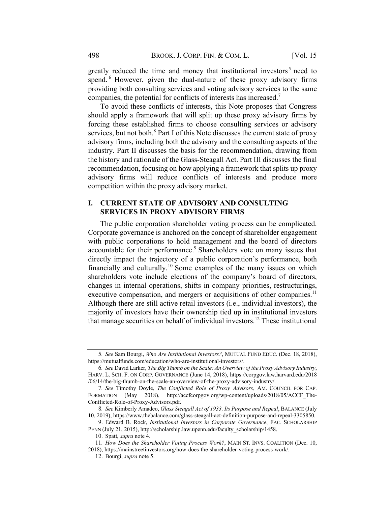greatly reduced the time and money that institutional investors<sup>5</sup> need to spend. <sup>6</sup> However, given the dual-nature of these proxy advisory firms providing both consulting services and voting advisory services to the same companies, the potential for conflicts of interests has increased.<sup>7</sup>

To avoid these conflicts of interests, this Note proposes that Congress should apply a framework that will split up these proxy advisory firms by forcing these established firms to choose consulting services or advisory services, but not both. $8$  Part I of this Note discusses the current state of proxy advisory firms, including both the advisory and the consulting aspects of the industry. Part II discusses the basis for the recommendation, drawing from the history and rationale of the Glass-Steagall Act. Part III discusses the final recommendation, focusing on how applying a framework that splits up proxy advisory firms will reduce conflicts of interests and produce more competition within the proxy advisory market.

## I. CURRENT STATE OF ADVISORY AND CONSULTING SERVICES IN PROXY ADVISORY FIRMS

The public corporation shareholder voting process can be complicated. Corporate governance is anchored on the concept of shareholder engagement with public corporations to hold management and the board of directors accountable for their performance.<sup>9</sup> Shareholders vote on many issues that directly impact the trajectory of a public corporation's performance, both financially and culturally.<sup>10</sup> Some examples of the many issues on which shareholders vote include elections of the company's board of directors, changes in internal operations, shifts in company priorities, restructurings, executive compensation, and mergers or acquisitions of other companies.<sup>11</sup> Although there are still active retail investors (i.e., individual investors), the majority of investors have their ownership tied up in institutional investors that manage securities on behalf of individual investors.<sup>12</sup> These institutional

<sup>5</sup>. See Sam Bourgi, Who Are Institutional Investors?, MUTUAL FUND EDUC. (Dec. 18, 2018), https://mutualfunds.com/education/who-are-institutional-investors/.

<sup>6</sup>. See David Larker, The Big Thumb on the Scale: An Overview of the Proxy Advisory Industry, HARV. L. SCH. F. ON CORP. GOVERNANCE (June 14, 2018), https://corpgov.law.harvard.edu/2018 /06/14/the-big-thumb-on-the-scale-an-overview-of-the-proxy-advisory-industry/.

<sup>7.</sup> See Timothy Doyle, The Conflicted Role of Proxy Advisors, AM. COUNCIL FOR CAP. FORMATION (May 2018), http://accfcorpgov.org/wp-content/uploads/2018/05/ACCF\_The-Conflicted-Role-of-Proxy-Advisors.pdf.

<sup>8</sup>. See Kimberly Amadeo, Glass Steagall Act of 1933, Its Purpose and Repeal, BALANCE (July 10, 2019), https://www.thebalance.com/glass-steagall-act-definition-purpose-and-repeal-3305850.

<sup>9.</sup> Edward B. Rock, Institutional Investors in Corporate Governance, FAC. SCHOLARSHIP PENN (July 21, 2015), http://scholarship.law.upenn.edu/faculty\_scholarship/1458.

<sup>10.</sup> Spatt, supra note 4.

<sup>11.</sup> How Does the Shareholder Voting Process Work?, MAIN ST. INVS. COALITION (Dec. 10, 2018), https://mainstreetinvestors.org/how-does-the-shareholder-voting-process-work/.

<sup>12.</sup> Bourgi, supra note 5.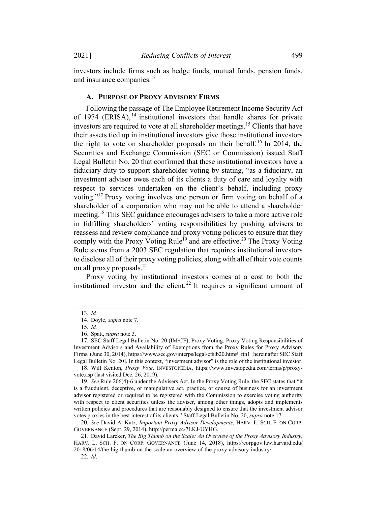investors include firms such as hedge funds, mutual funds, pension funds, and insurance companies.<sup>13</sup>

#### A. PURPOSE OF PROXY ADVISORY FIRMS

Following the passage of The Employee Retirement Income Security Act of 1974 (ERISA),  $^{14}$  institutional investors that handle shares for private investors are required to vote at all shareholder meetings.<sup>15</sup> Clients that have their assets tied up in institutional investors give those institutional investors the right to vote on shareholder proposals on their behalf.<sup>16</sup> In 2014, the Securities and Exchange Commission (SEC or Commission) issued Staff Legal Bulletin No. 20 that confirmed that these institutional investors have a fiduciary duty to support shareholder voting by stating, "as a fiduciary, an investment advisor owes each of its clients a duty of care and loyalty with respect to services undertaken on the client's behalf, including proxy voting."<sup>17</sup> Proxy voting involves one person or firm voting on behalf of a shareholder of a corporation who may not be able to attend a shareholder meeting.<sup>18</sup> This SEC guidance encourages advisers to take a more active role in fulfilling shareholders' voting responsibilities by pushing advisers to reassess and review compliance and proxy voting policies to ensure that they comply with the Proxy Voting Rule<sup>19</sup> and are effective.<sup>20</sup> The Proxy Voting Rule stems from a 2003 SEC regulation that requires institutional investors to disclose all of their proxy voting policies, along with all of their vote counts on all proxy proposals. $^{21}$ 

Proxy voting by institutional investors comes at a cost to both the institutional investor and the client.<sup>22</sup> It requires a significant amount of

<sup>13</sup>. Id.

<sup>14.</sup> Doyle, supra note 7.

<sup>15</sup>. Id.

<sup>16.</sup> Spatt, supra note 3.

<sup>17.</sup> SEC Staff Legal Bulletin No. 20 (IM/CF), Proxy Voting: Proxy Voting Responsibilities of Investment Advisors and Availability of Exemptions from the Proxy Rules for Proxy Advisory Firms, (June 30, 2014), https://www.sec.gov/interps/legal/cfslb20.htm#\_ftn1 [hereinafter SEC Staff Legal Bulletin No. 20]. In this context, "investment advisor" is the role of the institutional investor.

<sup>18.</sup> Will Kenton, Proxy Vote, INVESTOPEDIA, https://www.investopedia.com/terms/p/proxyvote.asp (last visited Dec. 26, 2019).

<sup>19</sup>. See Rule 206(4)-6 under the Advisers Act. In the Proxy Voting Rule, the SEC states that "it is a fraudulent, deceptive, or manipulative act, practice, or course of business for an investment advisor registered or required to be registered with the Commission to exercise voting authority with respect to client securities unless the adviser, among other things, adopts and implements written policies and procedures that are reasonably designed to ensure that the investment advisor votes proxies in the best interest of its clients." Staff Legal Bulletin No. 20, supra note 17.

<sup>20</sup>. See David A. Katz, Important Proxy Advisor Developments, HARV. L. SCH. F. ON CORP. GOVERNANCE (Sept. 29, 2014), http://perma.cc/7LKJ-UYHG.

<sup>21.</sup> David Larcker, The Big Thumb on the Scale: An Overview of the Proxy Advisory Industry, HARV. L. SCH. F. ON CORP. GOVERNANCE (June 14, 2018), https://corpgov.law.harvard.edu/ 2018/06/14/the-big-thumb-on-the-scale-an-overview-of-the-proxy-advisory-industry/.

<sup>22</sup>. Id.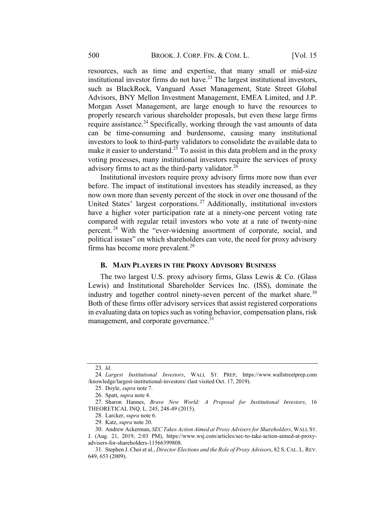resources, such as time and expertise, that many small or mid-size institutional investor firms do not have.<sup>23</sup> The largest institutional investors, such as BlackRock, Vanguard Asset Management, State Street Global Advisors, BNY Mellon Investment Management, EMEA Limited, and J.P. Morgan Asset Management, are large enough to have the resources to properly research various shareholder proposals, but even these large firms require assistance.<sup>24</sup> Specifically, working through the vast amounts of data can be time-consuming and burdensome, causing many institutional investors to look to third-party validators to consolidate the available data to make it easier to understand.<sup>25</sup> To assist in this data problem and in the proxy voting processes, many institutional investors require the services of proxy advisory firms to act as the third-party validator.<sup>26</sup>

Institutional investors require proxy advisory firms more now than ever before. The impact of institutional investors has steadily increased, as they now own more than seventy percent of the stock in over one thousand of the United States' largest corporations.<sup>27</sup> Additionally, institutional investors have a higher voter participation rate at a ninety-one percent voting rate compared with regular retail investors who vote at a rate of twenty-nine percent. <sup>28</sup> With the "ever-widening assortment of corporate, social, and political issues" on which shareholders can vote, the need for proxy advisory firms has become more prevalent. $^{29}$ 

#### B. MAIN PLAYERS IN THE PROXY ADVISORY BUSINESS

The two largest U.S. proxy advisory firms, Glass Lewis & Co. (Glass Lewis) and Institutional Shareholder Services Inc. (ISS), dominate the industry and together control ninety-seven percent of the market share.<sup>30</sup> Both of these firms offer advisory services that assist registered corporations in evaluating data on topics such as voting behavior, compensation plans, risk management, and corporate governance.<sup>31</sup>

<sup>23</sup>. Id.

<sup>24</sup>. Largest Institutional Investors, WALL ST. PREP, https://www.wallstreetprep.com /knowledge/largest-institutional-investors/ (last visited Oct. 17, 2019).

<sup>25.</sup> Doyle, supra note 7.

<sup>26.</sup> Spatt, supra note 4.

<sup>27.</sup> Sharon Hannes, Brave New World: A Proposal for Institutional Investors, 16 THEORETICAL INQ. L. 245, 248-49 (2015).

<sup>28.</sup> Larcker, supra note 6.

<sup>29.</sup> Katz, supra note 20.

<sup>30.</sup> Andrew Ackerman, SEC Takes Action Aimed at Proxy Advisers for Shareholders, WALL ST.

J. (Aug. 21, 2019, 2:03 PM), https://www.wsj.com/articles/sec-to-take-action-aimed-at-proxyadvisers-for-shareholders-11566399808.

<sup>31.</sup> Stephen J. Choi et al., Director Elections and the Role of Proxy Advisors, 82 S. CAL. L. REV. 649, 653 (2009).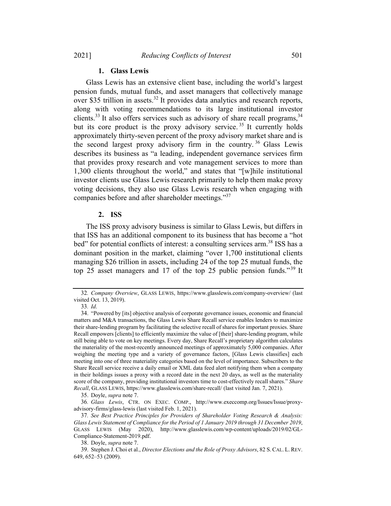## 1. Glass Lewis

Glass Lewis has an extensive client base, including the world's largest pension funds, mutual funds, and asset managers that collectively manage over \$35 trillion in assets.<sup>32</sup> It provides data analytics and research reports, along with voting recommendations to its large institutional investor clients.<sup>33</sup> It also offers services such as advisory of share recall programs,<sup>34</sup> but its core product is the proxy advisory service.<sup>35</sup> It currently holds approximately thirty-seven percent of the proxy advisory market share and is the second largest proxy advisory firm in the country.<sup>36</sup> Glass Lewis describes its business as "a leading, independent governance services firm that provides proxy research and vote management services to more than 1,300 clients throughout the world," and states that "[w]hile institutional investor clients use Glass Lewis research primarily to help them make proxy voting decisions, they also use Glass Lewis research when engaging with companies before and after shareholder meetings."<sup>37</sup>

## 2. ISS

The ISS proxy advisory business is similar to Glass Lewis, but differs in that ISS has an additional component to its business that has become a "hot bed" for potential conflicts of interest: a consulting services arm.<sup>38</sup> ISS has a dominant position in the market, claiming "over 1,700 institutional clients managing \$26 trillion in assets, including 24 of the top 25 mutual funds, the top 25 asset managers and 17 of the top 25 public pension funds."<sup>39</sup> It

33. Id.

<sup>32</sup>. Company Overview, GLASS LEWIS, https://www.glasslewis.com/company-overview/ (last visited Oct. 13, 2019).

<sup>34.</sup> "Powered by [its] objective analysis of corporate governance issues, economic and financial matters and M&A transactions, the Glass Lewis Share Recall service enables lenders to maximize their share-lending program by facilitating the selective recall of shares for important proxies. Share Recall empowers [clients] to efficiently maximize the value of [their] share-lending program, while still being able to vote on key meetings. Every day, Share Recall's proprietary algorithm calculates the materiality of the most-recently announced meetings of approximately 5,000 companies. After weighing the meeting type and a variety of governance factors, [Glass Lewis classifies] each meeting into one of three materiality categories based on the level of importance. Subscribers to the Share Recall service receive a daily email or XML data feed alert notifying them when a company in their holdings issues a proxy with a record date in the next 20 days, as well as the materiality score of the company, providing institutional investors time to cost-effectively recall shares." Share Recall, GLASS LEWIS, https://www.glasslewis.com/share-recall/ (last visited Jan. 7, 2021).

<sup>35.</sup> Doyle, supra note 7.

<sup>36</sup>. Glass Lewis, CTR. ON EXEC. COMP., http://www.execcomp.org/Issues/Issue/proxyadvisory-firms/glass-lewis (last visited Feb. 1, 2021).

<sup>37</sup>. See Best Practice Principles for Providers of Shareholder Voting Research & Analysis: Glass Lewis Statement of Compliance for the Period of 1 January 2019 through 31 December 2019, GLASS LEWIS (May 2020), http://www.glasslewis.com/wp-content/uploads/2019/02/GL-Compliance-Statement-2019.pdf.

<sup>38.</sup> Doyle, supra note 7.

<sup>39.</sup> Stephen J. Choi et al., Director Elections and the Role of Proxy Advisors, 82 S. CAL. L. REV. 649, 652–53 (2009).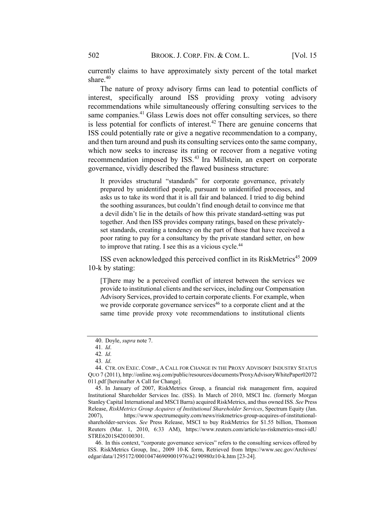currently claims to have approximately sixty percent of the total market share.<sup>40</sup>

The nature of proxy advisory firms can lead to potential conflicts of interest, specifically around ISS providing proxy voting advisory recommendations while simultaneously offering consulting services to the same companies.<sup>41</sup> Glass Lewis does not offer consulting services, so there is less potential for conflicts of interest.<sup>42</sup> There are genuine concerns that ISS could potentially rate or give a negative recommendation to a company, and then turn around and push its consulting services onto the same company, which now seeks to increase its rating or recover from a negative voting recommendation imposed by ISS.<sup>43</sup> Ira Millstein, an expert on corporate governance, vividly described the flawed business structure:

It provides structural "standards" for corporate governance, privately prepared by unidentified people, pursuant to unidentified processes, and asks us to take its word that it is all fair and balanced. I tried to dig behind the soothing assurances, but couldn't find enough detail to convince me that a devil didn't lie in the details of how this private standard-setting was put together. And then ISS provides company ratings, based on these privatelyset standards, creating a tendency on the part of those that have received a poor rating to pay for a consultancy by the private standard setter, on how to improve that rating. I see this as a vicious cycle.44

ISS even acknowledged this perceived conflict in its RiskMetrics <sup>45</sup> 2009 10-k by stating:

[T]here may be a perceived conflict of interest between the services we provide to institutional clients and the services, including our Compensation Advisory Services, provided to certain corporate clients. For example, when we provide corporate governance services<sup> $46$ </sup> to a corporate client and at the same time provide proxy vote recommendations to institutional clients

<sup>40.</sup> Doyle, supra note 7.

<sup>41</sup>. Id.

<sup>42</sup>. Id.

<sup>43</sup>. Id.

<sup>44.</sup> CTR. ON EXEC. COMP., A CALL FOR CHANGE IN THE PROXY ADVISORY INDUSTRY STATUS QUO 7 (2011), http://online.wsj.com/public/resources/documents/ProxyAdvisoryWhitePaper02072 011.pdf [hereinafter A Call for Change].

<sup>45.</sup> In January of 2007, RiskMetrics Group, a financial risk management firm, acquired Institutional Shareholder Services Inc. (ISS). In March of 2010, MSCI Inc. (formerly Morgan Stanley Capital International and MSCI Barra) acquired RiskMetrics, and thus owned ISS. See Press Release, RiskMetrics Group Acquires of Institutional Shareholder Services, Spectrum Equity (Jan. 2007), https://www.spectrumequity.com/news/riskmetrics-group-acquires-of-institutionalshareholder-services. See Press Release, MSCI to buy RiskMetrics for \$1.55 billion, Thomson Reuters (Mar. 1, 2010, 6:33 AM), https://www.reuters.com/article/us-riskmetrics-msci-idU STRE6201S420100301.

<sup>46.</sup> In this context, "corporate governance services" refers to the consulting services offered by ISS. RiskMetrics Group, Inc., 2009 10-K form, Retrieved from https://www.sec.gov/Archives/ edgar/data/1295172/000104746909001976/a2190980z10-k.htm [23-24].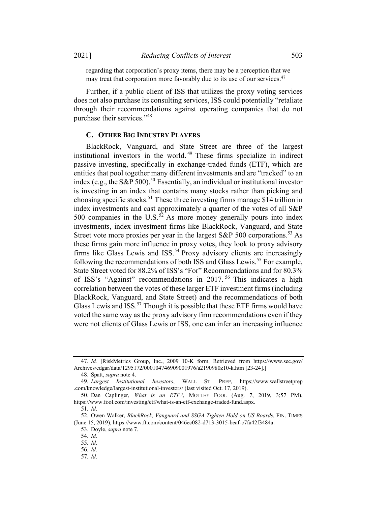regarding that corporation's proxy items, there may be a perception that we may treat that corporation more favorably due to its use of our services.<sup>47</sup>

Further, if a public client of ISS that utilizes the proxy voting services does not also purchase its consulting services, ISS could potentially "retaliate through their recommendations against operating companies that do not purchase their services."<sup>48</sup>

#### C. OTHER BIG INDUSTRY PLAYERS

BlackRock, Vanguard, and State Street are three of the largest institutional investors in the world. <sup>49</sup> These firms specialize in indirect passive investing, specifically in exchange-traded funds (ETF), which are entities that pool together many different investments and are "tracked" to an index (e.g., the S&P 500). <sup>50</sup> Essentially, an individual or institutional investor is investing in an index that contains many stocks rather than picking and choosing specific stocks.<sup>51</sup> These three investing firms manage \$14 trillion in index investments and cast approximately a quarter of the votes of all S&P 500 companies in the U.S.<sup>52</sup> As more money generally pours into index investments, index investment firms like BlackRock, Vanguard, and State Street vote more proxies per year in the largest S&P 500 corporations.<sup>53</sup> As these firms gain more influence in proxy votes, they look to proxy advisory firms like Glass Lewis and ISS.<sup>54</sup> Proxy advisory clients are increasingly following the recommendations of both ISS and Glass Lewis.<sup>55</sup> For example, State Street voted for 88.2% of ISS's "For" Recommendations and for 80.3% of ISS's "Against" recommendations in 2017. <sup>56</sup> This indicates a high correlation between the votes of these larger ETF investment firms (including BlackRock, Vanguard, and State Street) and the recommendations of both Glass Lewis and  $\overline{\mathrm{ISS}}$ .<sup>57</sup> Though it is possible that these ETF firms would have voted the same way as the proxy advisory firm recommendations even if they were not clients of Glass Lewis or ISS, one can infer an increasing influence

<sup>47</sup>. Id. [RiskMetrics Group, Inc., 2009 10-K form, Retrieved from https://www.sec.gov/ Archives/edgar/data/1295172/000104746909001976/a2190980z10-k.htm [23-24].]

<sup>48.</sup> Spatt, supra note 4.

<sup>49</sup>. Largest Institutional Investors, WALL ST. PREP, https://www.wallstreetprep .com/knowledge/largest-institutional-investors/ (last visited Oct. 17, 2019).

<sup>50.</sup> Dan Caplinger, What is an ETF?, MOTLEY FOOL (Aug. 7, 2019, 3;57 PM), https://www.fool.com/investing/etf/what-is-an-etf-exchange-traded-fund.aspx.

<sup>51</sup>. Id.

<sup>52.</sup> Owen Walker, BlackRock, Vanguard and SSGA Tighten Hold on US Boards, FIN. TIMES (June 15, 2019), https://www.ft.com/content/046ec082-d713-3015-beaf-c7fa42f3484a.

<sup>53.</sup> Doyle, supra note 7.

<sup>54</sup>. Id.

<sup>55</sup>. Id.

<sup>56</sup>. Id.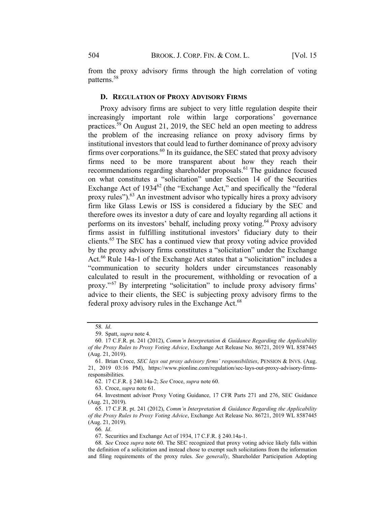from the proxy advisory firms through the high correlation of voting patterns.<sup>58</sup>

#### D. REGULATION OF PROXY ADVISORY FIRMS

Proxy advisory firms are subject to very little regulation despite their increasingly important role within large corporations' governance practices.<sup>59</sup> On August 21, 2019, the SEC held an open meeting to address the problem of the increasing reliance on proxy advisory firms by institutional investors that could lead to further dominance of proxy advisory firms over corporations.<sup>60</sup> In its guidance, the SEC stated that proxy advisory firms need to be more transparent about how they reach their recommendations regarding shareholder proposals.<sup>61</sup> The guidance focused on what constitutes a "solicitation" under Section 14 of the Securities Exchange Act of  $1934^{62}$  (the "Exchange Act," and specifically the "federal proxy rules").<sup>63</sup> An investment advisor who typically hires a proxy advisory firm like Glass Lewis or ISS is considered a fiduciary by the SEC and therefore owes its investor a duty of care and loyalty regarding all actions it performs on its investors' behalf, including proxy voting.<sup>64</sup> Proxy advisory firms assist in fulfilling institutional investors' fiduciary duty to their clients.<sup>65</sup> The SEC has a continued view that proxy voting advice provided by the proxy advisory firms constitutes a "solicitation" under the Exchange Act.<sup>66</sup> Rule 14a-1 of the Exchange Act states that a "solicitation" includes a "communication to security holders under circumstances reasonably calculated to result in the procurement, withholding or revocation of a proxy." <sup>67</sup> By interpreting "solicitation" to include proxy advisory firms' advice to their clients, the SEC is subjecting proxy advisory firms to the federal proxy advisory rules in the Exchange Act.<sup>68</sup>

62. 17 C.F.R. § 240.14a-2; See Croce, supra note 60.

63. Croce, supra note 61.

64. Investment advisor Proxy Voting Guidance, 17 CFR Parts 271 and 276, SEC Guidance (Aug. 21, 2019).

66. Id.

67. Securities and Exchange Act of 1934, 17 C.F.R. § 240.14a-1.

<sup>58</sup>. Id.

<sup>59.</sup> Spatt, *supra* note 4.

<sup>60.</sup> 17 C.F.R. pt. 241 (2012), Comm'n Interpretation & Guidance Regarding the Applicability of the Proxy Rules to Proxy Voting Advice, Exchange Act Release No. 86721, 2019 WL 8587445 (Aug. 21, 2019).

<sup>61.</sup> Brian Croce, SEC lays out proxy advisory firms' responsibilities, PENSION & INVS. (Aug. 21, 2019 03:16 PM), https://www.pionline.com/regulation/sec-lays-out-proxy-advisory-firmsresponsibilities.

<sup>65.</sup> 17 C.F.R. pt. 241 (2012), Comm'n Interpretation & Guidance Regarding the Applicability of the Proxy Rules to Proxy Voting Advice, Exchange Act Release No. 86721, 2019 WL 8587445 (Aug. 21, 2019).

<sup>68</sup>. See Croce supra note 60. The SEC recognized that proxy voting advice likely falls within the definition of a solicitation and instead chose to exempt such solicitations from the information and filing requirements of the proxy rules. See generally, Shareholder Participation Adopting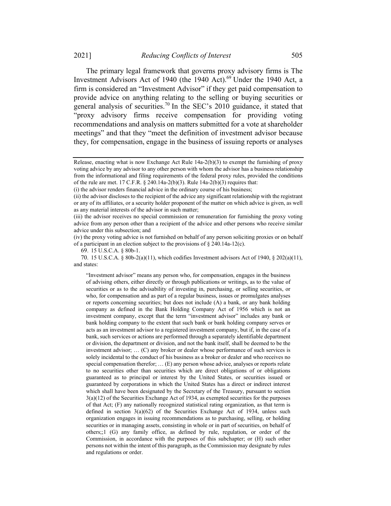The primary legal framework that governs proxy advisory firms is The Investment Advisors Act of 1940 (the 1940 Act).<sup>69</sup> Under the 1940 Act, a firm is considered an "Investment Advisor" if they get paid compensation to provide advice on anything relating to the selling or buying securities or general analysis of securities.<sup>70</sup> In the SEC's 2010 guidance, it stated that "proxy advisory firms receive compensation for providing voting recommendations and analysis on matters submitted for a vote at shareholder meetings" and that they "meet the definition of investment advisor because they, for compensation, engage in the business of issuing reports or analyses

(iv) the proxy voting advice is not furnished on behalf of any person soliciting proxies or on behalf of a participant in an election subject to the provisions of  $\S$  240.14a-12(c).

69. 15 U.S.C.A. § 80b-1.

70. 15 U.S.C.A. § 80b-2(a)(11), which codifies Investment advisors Act of 1940, § 202(a)(11), and states:

"Investment advisor" means any person who, for compensation, engages in the business of advising others, either directly or through publications or writings, as to the value of securities or as to the advisability of investing in, purchasing, or selling securities, or who, for compensation and as part of a regular business, issues or promulgates analyses or reports concerning securities; but does not include (A) a bank, or any bank holding company as defined in the Bank Holding Company Act of 1956 which is not an investment company, except that the term "investment advisor" includes any bank or bank holding company to the extent that such bank or bank holding company serves or acts as an investment advisor to a registered investment company, but if, in the case of a bank, such services or actions are performed through a separately identifiable department or division, the department or division, and not the bank itself, shall be deemed to be the investment advisor; … (C) any broker or dealer whose performance of such services is solely incidental to the conduct of his business as a broker or dealer and who receives no special compensation therefor; … (E) any person whose advice, analyses or reports relate to no securities other than securities which are direct obligations of or obligations guaranteed as to principal or interest by the United States, or securities issued or guaranteed by corporations in which the United States has a direct or indirect interest which shall have been designated by the Secretary of the Treasury, pursuant to section  $3(a)(12)$  of the Securities Exchange Act of 1934, as exempted securities for the purposes of that Act; (F) any nationally recognized statistical rating organization, as that term is defined in section 3(a)(62) of the Securities Exchange Act of 1934, unless such organization engages in issuing recommendations as to purchasing, selling, or holding securities or in managing assets, consisting in whole or in part of securities, on behalf of others;;1 (G) any family office, as defined by rule, regulation, or order of the Commission, in accordance with the purposes of this subchapter; or (H) such other persons not within the intent of this paragraph, as the Commission may designate by rules and regulations or order.

Release, enacting what is now Exchange Act Rule 14a-2(b)(3) to exempt the furnishing of proxy voting advice by any advisor to any other person with whom the advisor has a business relationship from the informational and filing requirements of the federal proxy rules, provided the conditions of the rule are met. 17 C.F.R. § 240.14a-2(b)(3). Rule 14a-2(b)(3) requires that:

<sup>(</sup>i) the advisor renders financial advice in the ordinary course of his business;

<sup>(</sup>ii) the advisor discloses to the recipient of the advice any significant relationship with the registrant or any of its affiliates, or a security holder proponent of the matter on which advice is given, as well as any material interests of the advisor in such matter;

<sup>(</sup>iii) the advisor receives no special commission or remuneration for furnishing the proxy voting advice from any person other than a recipient of the advice and other persons who receive similar advice under this subsection; and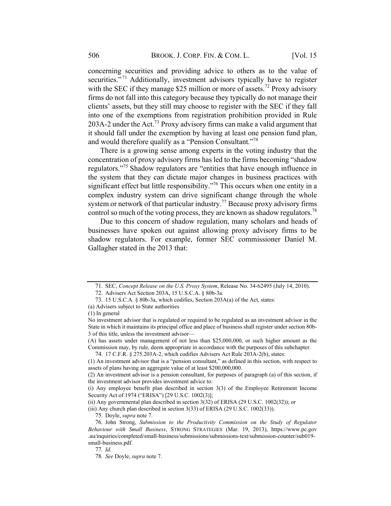concerning securities and providing advice to others as to the value of securities."<sup>71</sup> Additionally, investment advisors typically have to register with the SEC if they manage \$25 million or more of assets.<sup>72</sup> Proxy advisory firms do not fall into this category because they typically do not manage their clients' assets, but they still may choose to register with the SEC if they fall into one of the exemptions from registration prohibition provided in Rule 203A-2 under the Act.<sup>73</sup> Proxy advisory firms can make a valid argument that it should fall under the exemption by having at least one pension fund plan, and would therefore qualify as a "Pension Consultant."<sup>74</sup>

There is a growing sense among experts in the voting industry that the concentration of proxy advisory firms has led to the firms becoming "shadow regulators."75 Shadow regulators are "entities that have enough influence in the system that they can dictate major changes in business practices with significant effect but little responsibility."<sup>76</sup> This occurs when one entity in a complex industry system can drive significant change through the whole system or network of that particular industry.<sup>77</sup> Because proxy advisory firms control so much of the voting process, they are known as shadow regulators.<sup>78</sup>

Due to this concern of shadow regulation, many scholars and heads of businesses have spoken out against allowing proxy advisory firms to be shadow regulators. For example, former SEC commissioner Daniel M. Gallagher stated in the 2013 that:

<sup>71.</sup> SEC, Concept Release on the U.S. Proxy System, Release No. 34-62495 (July 14, 2010).

<sup>72.</sup> Advisers Act Section 203A, 15 U.S.C.A. § 80b-3a.

<sup>73.</sup> 15 U.S.C.A. § 80b-3a, which codifies, Section 203A(a) of the Act, states:

<sup>(</sup>a) Advisers subject to State authorities

<sup>(1)</sup> In general

No investment advisor that is regulated or required to be regulated as an investment advisor in the State in which it maintains its principal office and place of business shall register under section 80b-3 of this title, unless the investment advisor—

<sup>(</sup>A) has assets under management of not less than \$25,000,000, or such higher amount as the Commission may, by rule, deem appropriate in accordance with the purposes of this subchapter.

<sup>74.</sup> 17 C.F.R. § 275.203A-2, which codifies Advisers Act Rule 203A-2(b), states:

<sup>(1)</sup> An investment advisor that is a "pension consultant," as defined in this section, with respect to assets of plans having an aggregate value of at least \$200,000,000.

<sup>(2)</sup> An investment advisor is a pension consultant, for purposes of paragraph (a) of this section, if the investment advisor provides investment advice to:

<sup>(</sup>i) Any employee benefit plan described in section 3(3) of the Employee Retirement Income Security Act of 1974 ("ERISA") [29 U.S.C. 1002(3)];

<sup>(</sup>ii) Any governmental plan described in section 3(32) of ERISA (29 U.S.C. 1002(32)); or

<sup>(</sup>iii) Any church plan described in section 3(33) of ERISA (29 U.S.C. 1002(33)).

<sup>75.</sup> Doyle, supra note 7.

<sup>76.</sup> John Strong, Submission to the Productivity Commission on the Study of Regulator Behaviour with Small Business, STRONG STRATEGIES (Mar. 19, 2013), https://www.pc.gov .au/inquiries/completed/small-business/submissions/submissions-test/submission-counter/sub019 small-business.pdf.

<sup>77</sup>. Id.

<sup>78</sup>. See Doyle, supra note 7.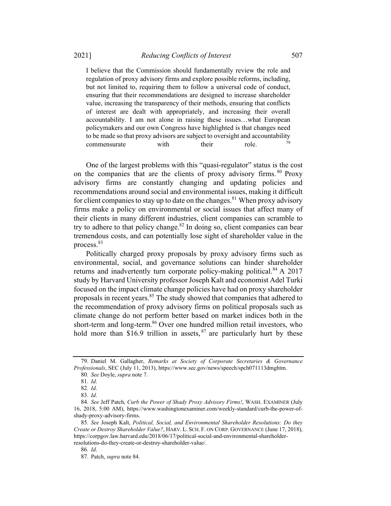I believe that the Commission should fundamentally review the role and regulation of proxy advisory firms and explore possible reforms, including, but not limited to, requiring them to follow a universal code of conduct, ensuring that their recommendations are designed to increase shareholder value, increasing the transparency of their methods, ensuring that conflicts of interest are dealt with appropriately, and increasing their overall accountability. I am not alone in raising these issues…what European policymakers and our own Congress have highlighted is that changes need to be made so that proxy advisors are subject to oversight and accountability commensurate with their role.

One of the largest problems with this "quasi-regulator" status is the cost on the companies that are the clients of proxy advisory firms. <sup>80</sup> Proxy advisory firms are constantly changing and updating policies and recommendations around social and environmental issues, making it difficult for client companies to stay up to date on the changes. $81$  When proxy advisory firms make a policy on environmental or social issues that affect many of their clients in many different industries, client companies can scramble to try to adhere to that policy change.<sup>82</sup> In doing so, client companies can bear tremendous costs, and can potentially lose sight of shareholder value in the process.<sup>83</sup>

Politically charged proxy proposals by proxy advisory firms such as environmental, social, and governance solutions can hinder shareholder returns and inadvertently turn corporate policy-making political.<sup>84</sup> A 2017 study by Harvard University professor Joseph Kalt and economist Adel Turki focused on the impact climate change policies have had on proxy shareholder proposals in recent years.<sup>85</sup> The study showed that companies that adhered to the recommendation of proxy advisory firms on political proposals such as climate change do not perform better based on market indices both in the short-term and long-term.<sup>86</sup> Over one hundred million retail investors, who hold more than  $$16.9$  trillion in assets,  $^{87}$  are particularly hurt by these

<sup>79.</sup> Daniel M. Gallagher, Remarks at Society of Corporate Secretaries & Governance Professionals, SEC (July 11, 2013), https://www.sec.gov/news/speech/spch071113dmghtm.

<sup>80</sup>. See Doyle, supra note 7.

<sup>81</sup>. Id.

<sup>82</sup>. Id.

<sup>83</sup>. Id.

<sup>84.</sup> See Jeff Patch, Curb the Power of Shady Proxy Advisory Firms!, WASH. EXAMINER (July 16, 2018, 5:00 AM), https://www.washingtonexaminer.com/weekly-standard/curb-the-power-ofshady-proxy-advisory-firms.

<sup>85</sup>. See Joseph Kalt, Political, Social, and Environmental Shareholder Resolutions: Do they Create or Destroy Shareholder Value?, HARV. L. SCH. F. ON CORP. GOVERNANCE (June 17, 2018), https://corpgov.law.harvard.edu/2018/06/17/political-social-and-environmental-shareholderresolutions-do-they-create-or-destroy-shareholder-value/.

<sup>86</sup>. Id.

<sup>87.</sup> Patch, supra note 84.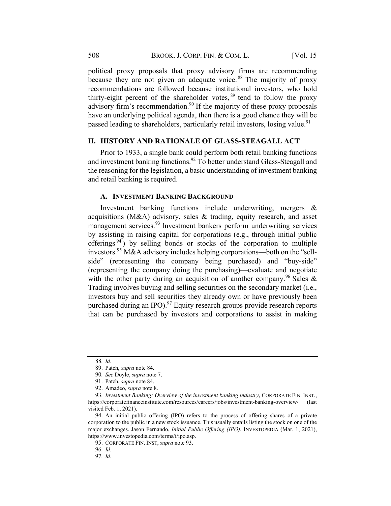political proxy proposals that proxy advisory firms are recommending because they are not given an adequate voice.<sup>88</sup> The majority of proxy recommendations are followed because institutional investors, who hold thirty-eight percent of the shareholder votes, <sup>89</sup> tend to follow the proxy advisory firm's recommendation.<sup>90</sup> If the majority of these proxy proposals have an underlying political agenda, then there is a good chance they will be passed leading to shareholders, particularly retail investors, losing value.<sup>91</sup>

## II. HISTORY AND RATIONALE OF GLASS-STEAGALL ACT

Prior to 1933, a single bank could perform both retail banking functions and investment banking functions.<sup>92</sup> To better understand Glass-Steagall and the reasoning for the legislation, a basic understanding of investment banking and retail banking is required.

## A. INVESTMENT BANKING BACKGROUND

Investment banking functions include underwriting, mergers & acquisitions (M&A) advisory, sales & trading, equity research, and asset management services.<sup>93</sup> Investment bankers perform underwriting services by assisting in raising capital for corporations (e.g., through initial public offerings  $94$ ) by selling bonds or stocks of the corporation to multiple investors.<sup>95</sup> M&A advisory includes helping corporations—both on the "sellside" (representing the company being purchased) and "buy-side" (representing the company doing the purchasing)—evaluate and negotiate with the other party during an acquisition of another company.<sup>96</sup> Sales & Trading involves buying and selling securities on the secondary market (i.e., investors buy and sell securities they already own or have previously been purchased during an IPO).<sup>97</sup> Equity research groups provide research reports that can be purchased by investors and corporations to assist in making

<sup>88</sup>. Id.

<sup>89.</sup> Patch, supra note 84.

<sup>90</sup>. See Doyle, supra note 7.

<sup>91.</sup> Patch, supra note 84.

<sup>92.</sup> Amadeo, supra note 8.

<sup>93.</sup> Investment Banking: Overview of the investment banking industry, CORPORATE FIN. INST., https://corporatefinanceinstitute.com/resources/careers/jobs/investment-banking-overview/ (last visited Feb. 1, 2021).

<sup>94.</sup> An initial public offering (IPO) refers to the process of offering shares of a private corporation to the public in a new stock issuance. This usually entails listing the stock on one of the major exchanges. Jason Fernando, *Initial Public Offering (IPO)*, INVESTOPEDIA (Mar. 1, 2021), https://www.investopedia.com/terms/i/ipo.asp.

<sup>95.</sup> CORPORATE FIN. INST, supra note 93.

<sup>96</sup>. Id.

<sup>97</sup>. Id.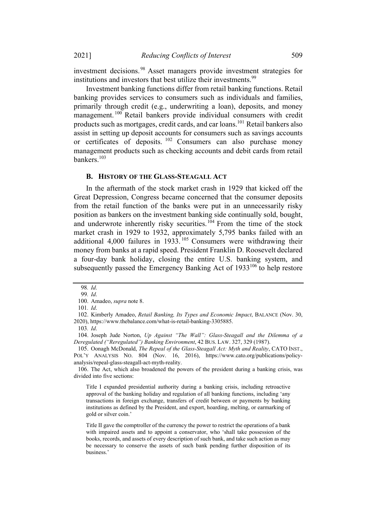investment decisions. <sup>98</sup> Asset managers provide investment strategies for institutions and investors that best utilize their investments.<sup>99</sup>

Investment banking functions differ from retail banking functions. Retail banking provides services to consumers such as individuals and families, primarily through credit (e.g., underwriting a loan), deposits, and money management.<sup>100</sup> Retail bankers provide individual consumers with credit products such as mortgages, credit cards, and car loans.101 Retail bankers also assist in setting up deposit accounts for consumers such as savings accounts or certificates of deposits. <sup>102</sup> Consumers can also purchase money management products such as checking accounts and debit cards from retail bankers.<sup>103</sup>

#### B. HISTORY OF THE GLASS-STEAGALL ACT

In the aftermath of the stock market crash in 1929 that kicked off the Great Depression, Congress became concerned that the consumer deposits from the retail function of the banks were put in an unnecessarily risky position as bankers on the investment banking side continually sold, bought, and underwrote inherently risky securities.<sup>104</sup> From the time of the stock market crash in 1929 to 1932, approximately 5,795 banks failed with an additional 4,000 failures in  $1933$ <sup>105</sup> Consumers were withdrawing their money from banks at a rapid speed. President Franklin D. Roosevelt declared a four-day bank holiday, closing the entire U.S. banking system, and subsequently passed the Emergency Banking Act of  $1933^{106}$  to help restore

<sup>98</sup>. Id. 99. Id.

<sup>100.</sup> Amadeo, supra note 8.

<sup>101</sup>. Id.

<sup>102.</sup> Kimberly Amadeo, Retail Banking, Its Types and Economic Impact, BALANCE (Nov. 30, 2020), https://www.thebalance.com/what-is-retail-banking-3305885.

<sup>103</sup>. Id.

<sup>104.</sup> Joseph Jude Norton, Up Against "The Wall": Glass-Steagall and the Dilemma of a Deregulated ("Reregulated") Banking Environment, 42 BUS. LAW. 327, 329 (1987).

<sup>105.</sup> Oonagh McDonald, The Repeal of the Glass-Steagall Act: Myth and Reality, CATO INST., POL'Y ANALYSIS NO. 804 (Nov. 16, 2016), https://www.cato.org/publications/policyanalysis/repeal-glass-steagall-act-myth-reality.

<sup>106.</sup> The Act, which also broadened the powers of the president during a banking crisis, was divided into five sections:

Title I expanded presidential authority during a banking crisis, including retroactive approval of the banking holiday and regulation of all banking functions, including 'any transactions in foreign exchange, transfers of credit between or payments by banking institutions as defined by the President, and export, hoarding, melting, or earmarking of gold or silver coin.'

Title II gave the comptroller of the currency the power to restrict the operations of a bank with impaired assets and to appoint a conservator, who 'shall take possession of the books, records, and assets of every description of such bank, and take such action as may be necessary to conserve the assets of such bank pending further disposition of its business.'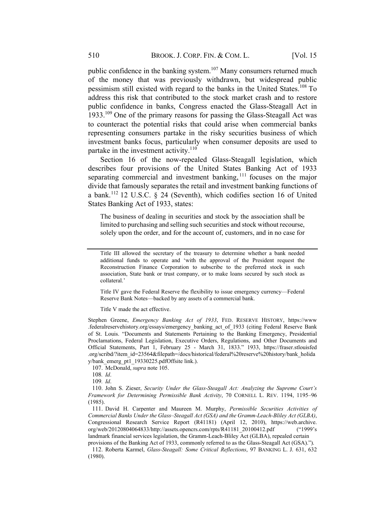public confidence in the banking system.<sup>107</sup> Many consumers returned much of the money that was previously withdrawn, but widespread public pessimism still existed with regard to the banks in the United States.<sup>108</sup> To address this risk that contributed to the stock market crash and to restore public confidence in banks, Congress enacted the Glass-Steagall Act in 1933.<sup>109</sup> One of the primary reasons for passing the Glass-Steagall Act was to counteract the potential risks that could arise when commercial banks representing consumers partake in the risky securities business of which investment banks focus, particularly when consumer deposits are used to partake in the investment activity.<sup>110</sup>

Section 16 of the now-repealed Glass-Steagall legislation, which describes four provisions of the United States Banking Act of 1933 separating commercial and investment banking,  $111$  focuses on the major divide that famously separates the retail and investment banking functions of a bank.<sup>112</sup> 12 U.S.C. § 24 (Seventh), which codifies section 16 of United States Banking Act of 1933, states:

The business of dealing in securities and stock by the association shall be limited to purchasing and selling such securities and stock without recourse, solely upon the order, and for the account of, customers, and in no case for

Title IV gave the Federal Reserve the flexibility to issue emergency currency—Federal Reserve Bank Notes—backed by any assets of a commercial bank.

Title V made the act effective.

Stephen Greene, Emergency Banking Act of 1933, FED. RESERVE HISTORY, https://www .federalreservehistory.org/essays/emergency\_banking\_act\_of\_1933 (citing Federal Reserve Bank of St. Louis. "Documents and Statements Pertaining to the Banking Emergency, Presidential Proclamations, Federal Legislation, Executive Orders, Regulations, and Other Documents and Official Statements, Part 1, February 25 - March 31, 1833." 1933, https://fraser.stlouisfed .org/scribd/?item\_id=23564&filepath=/docs/historical/federal%20reserve%20history/bank\_holida y/bank\_emerg\_pt1\_19330225.pdfOffsite link.).

107. McDonald, supra note 105.

108. Id.

109. Id.

110. John S. Zieser, Security Under the Glass-Steagall Act: Analyzing the Supreme Court's Framework for Determining Permissible Bank Activity, 70 CORNELL L. REV. 1194, 1195–96 (1985).

111. David H. Carpenter and Maureen M. Murphy, Permissible Securities Activities of Commercial Banks Under the Glass–Steagall Act (GSA) and the Gramm-Leach-Bliley Act (GLBA), Congressional Research Service Report (R41181) (April 12, 2010), https://web.archive. org/web/20120804064833/http://assets.opencrs.com/rpts/R41181\_20100412.pdf ("1999's landmark financial services legislation, the Gramm-Leach-Bliley Act (GLBA), repealed certain provisions of the Banking Act of 1933, commonly referred to as the Glass-Steagall Act (GSA).").

112. Roberta Karmel, Glass-Steagall: Some Critical Reflections, 97 BANKING L. J. 631, 632 (1980).

Title III allowed the secretary of the treasury to determine whether a bank needed additional funds to operate and 'with the approval of the President request the Reconstruction Finance Corporation to subscribe to the preferred stock in such association, State bank or trust company, or to make loans secured by such stock as collateral.'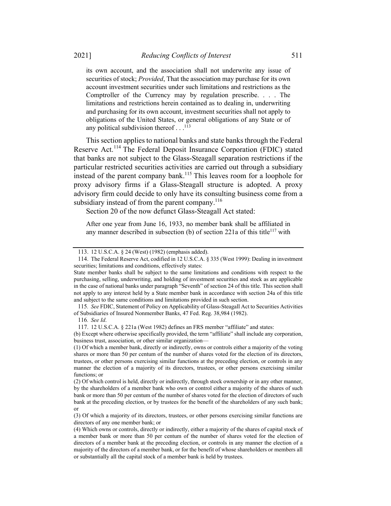its own account, and the association shall not underwrite any issue of securities of stock; *Provided*, That the association may purchase for its own account investment securities under such limitations and restrictions as the Comptroller of the Currency may by regulation prescribe. . . . The limitations and restrictions herein contained as to dealing in, underwriting and purchasing for its own account, investment securities shall not apply to obligations of the United States, or general obligations of any State or of any political subdivision thereof  $\dots$ <sup>113</sup>

This section applies to national banks and state banks through the Federal Reserve Act.<sup>114</sup> The Federal Deposit Insurance Corporation (FDIC) stated that banks are not subject to the Glass-Steagall separation restrictions if the particular restricted securities activities are carried out through a subsidiary instead of the parent company bank.<sup>115</sup> This leaves room for a loophole for proxy advisory firms if a Glass-Steagall structure is adopted. A proxy advisory firm could decide to only have its consulting business come from a subsidiary instead of from the parent company.<sup>116</sup>

Section 20 of the now defunct Glass-Steagall Act stated:

After one year from June 16, 1933, no member bank shall be affiliated in any manner described in subsection (b) of section 221a of this title<sup>117</sup> with

116. See Id.

<sup>113.</sup> 12 U.S.C.A. § 24 (West) (1982) (emphasis added).

<sup>114.</sup> The Federal Reserve Act, codified in 12 U.S.C.A. § 335 (West 1999): Dealing in investment securities; limitations and conditions, effectively states:

State member banks shall be subject to the same limitations and conditions with respect to the purchasing, selling, underwriting, and holding of investment securities and stock as are applicable in the case of national banks under paragraph "Seventh" of section 24 of this title. This section shall not apply to any interest held by a State member bank in accordance with section 24a of this title and subject to the same conditions and limitations provided in such section.

<sup>115</sup>. See FDIC, Statement of Policy on Applicability of Glass-Steagall Act to Securities Activities of Subsidiaries of Insured Nonmember Banks, 47 Fed. Reg. 38,984 (1982).

<sup>117.</sup> 12 U.S.C.A. § 221a (West 1982) defines an FRS member "affiliate" and states:

<sup>(</sup>b) Except where otherwise specifically provided, the term "affiliate" shall include any corporation, business trust, association, or other similar organization—

<sup>(1)</sup> Of which a member bank, directly or indirectly, owns or controls either a majority of the voting shares or more than 50 per centum of the number of shares voted for the election of its directors, trustees, or other persons exercising similar functions at the preceding election, or controls in any manner the election of a majority of its directors, trustees, or other persons exercising similar functions; or

<sup>(2)</sup> Of which control is held, directly or indirectly, through stock ownership or in any other manner, by the shareholders of a member bank who own or control either a majority of the shares of such bank or more than 50 per centum of the number of shares voted for the election of directors of such bank at the preceding election, or by trustees for the benefit of the shareholders of any such bank; or

<sup>(3)</sup> Of which a majority of its directors, trustees, or other persons exercising similar functions are directors of any one member bank; or

<sup>(4)</sup> Which owns or controls, directly or indirectly, either a majority of the shares of capital stock of a member bank or more than 50 per centum of the number of shares voted for the election of directors of a member bank at the preceding election, or controls in any manner the election of a majority of the directors of a member bank, or for the benefit of whose shareholders or members all or substantially all the capital stock of a member bank is held by trustees.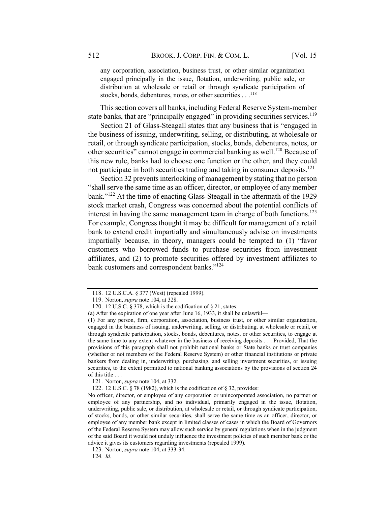any corporation, association, business trust, or other similar organization engaged principally in the issue, flotation, underwriting, public sale, or distribution at wholesale or retail or through syndicate participation of stocks, bonds, debentures, notes, or other securities . . .<sup>118</sup>

This section covers all banks, including Federal Reserve System-member state banks, that are "principally engaged" in providing securities services.<sup>119</sup>

Section 21 of Glass-Steagall states that any business that is "engaged in the business of issuing, underwriting, selling, or distributing, at wholesale or retail, or through syndicate participation, stocks, bonds, debentures, notes, or other securities" cannot engage in commercial banking as well.<sup>120</sup> Because of this new rule, banks had to choose one function or the other, and they could not participate in both securities trading and taking in consumer deposits.<sup>121</sup>

Section 32 prevents interlocking of management by stating that no person "shall serve the same time as an officer, director, or employee of any member bank."122 At the time of enacting Glass-Steagall in the aftermath of the 1929 stock market crash, Congress was concerned about the potential conflicts of interest in having the same management team in charge of both functions.<sup>123</sup> For example, Congress thought it may be difficult for management of a retail bank to extend credit impartially and simultaneously advise on investments impartially because, in theory, managers could be tempted to (1) "favor customers who borrowed funds to purchase securities from investment affiliates, and (2) to promote securities offered by investment affiliates to bank customers and correspondent banks."<sup>124</sup>

(a) After the expiration of one year after June 16, 1933, it shall be unlawful—

(1) For any person, firm, corporation, association, business trust, or other similar organization, engaged in the business of issuing, underwriting, selling, or distributing, at wholesale or retail, or through syndicate participation, stocks, bonds, debentures, notes, or other securities, to engage at the same time to any extent whatever in the business of receiving deposits . . . Provided, That the provisions of this paragraph shall not prohibit national banks or State banks or trust companies (whether or not members of the Federal Reserve System) or other financial institutions or private bankers from dealing in, underwriting, purchasing, and selling investment securities, or issuing securities, to the extent permitted to national banking associations by the provisions of section 24 of this title . . .

121. Norton, supra note 104, at 332.

122. 12 U.S.C. § 78 (1982), which is the codification of § 32, provides:

No officer, director, or employee of any corporation or unincorporated association, no partner or employee of any partnership, and no individual, primarily engaged in the issue, flotation, underwriting, public sale, or distribution, at wholesale or retail, or through syndicate participation, of stocks, bonds, or other similar securities, shall serve the same time as an officer, director, or employee of any member bank except in limited classes of cases in which the Board of Governors of the Federal Reserve System may allow such service by general regulations when in the judgment of the said Board it would not unduly influence the investment policies of such member bank or the advice it gives its customers regarding investments (repealed 1999).

123. Norton, supra note 104, at 333-34.

124. Id.

<sup>118.</sup> 12 U.S.C.A. § 377 (West) (repealed 1999).

<sup>119.</sup> Norton, supra note 104, at 328.

<sup>120.</sup> 12 U.S.C. § 378, which is the codification of § 21, states: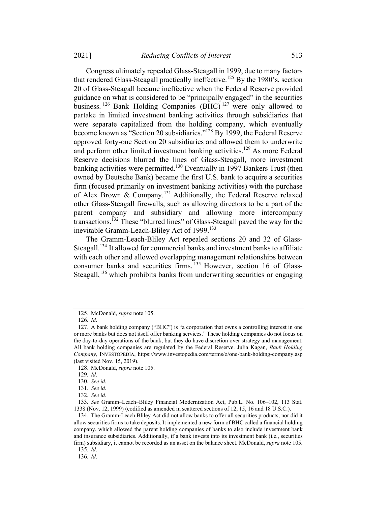2021] Reducing Conflicts of Interest 513

Congress ultimately repealed Glass-Steagall in 1999, due to many factors that rendered Glass-Steagall practically ineffective.<sup>125</sup> By the 1980's, section 20 of Glass-Steagall became ineffective when the Federal Reserve provided guidance on what is considered to be "principally engaged" in the securities business. <sup>126</sup> Bank Holding Companies (BHC) <sup>127</sup> were only allowed to partake in limited investment banking activities through subsidiaries that were separate capitalized from the holding company, which eventually become known as "Section 20 subsidiaries."128 By 1999, the Federal Reserve approved forty-one Section 20 subsidiaries and allowed them to underwrite and perform other limited investment banking activities.<sup>129</sup> As more Federal Reserve decisions blurred the lines of Glass-Steagall, more investment banking activities were permitted.<sup>130</sup> Eventually in 1997 Bankers Trust (then owned by Deutsche Bank) became the first U.S. bank to acquire a securities firm (focused primarily on investment banking activities) with the purchase of Alex Brown & Company.<sup>131</sup> Additionally, the Federal Reserve relaxed other Glass-Steagall firewalls, such as allowing directors to be a part of the parent company and subsidiary and allowing more intercompany transactions.132 These "blurred lines" of Glass-Steagall paved the way for the inevitable Gramm-Leach-Bliley Act of 1999.<sup>133</sup>

The Gramm-Leach-Bliley Act repealed sections 20 and 32 of Glass-Steagall.<sup>134</sup> It allowed for commercial banks and investment banks to affiliate with each other and allowed overlapping management relationships between consumer banks and securities firms.<sup>135</sup> However, section 16 of Glass-Steagall,<sup>136</sup> which prohibits banks from underwriting securities or engaging

128. McDonald, supra note 105.

<sup>125.</sup> McDonald, supra note 105.

<sup>126</sup>. Id.

<sup>127.</sup> A bank holding company ("BHC") is "a corporation that owns a controlling interest in one or more banks but does not itself offer banking services." These holding companies do not focus on the day-to-day operations of the bank, but they do have discretion over strategy and management. All bank holding companies are regulated by the Federal Reserve. Julia Kagan, Bank Holding Company, INVESTOPEDIA, https://www.investopedia.com/terms/o/one-bank-holding-company.asp (last visited Nov. 15, 2019).

<sup>129</sup>. Id.

<sup>130</sup>. See id.

<sup>131</sup>. See id.

<sup>132</sup>. See id.

<sup>133</sup>. See Gramm–Leach–Bliley Financial Modernization Act, Pub.L. No. 106–102, 113 Stat. 1338 (Nov. 12, 1999) (codified as amended in scattered sections of 12, 15, 16 and 18 U.S.C.).

<sup>134.</sup> The Gramm-Leach Bliley Act did not allow banks to offer all securities products, nor did it allow securities firms to take deposits. It implemented a new form of BHC called a financial holding company, which allowed the parent holding companies of banks to also include investment bank and insurance subsidiaries. Additionally, if a bank invests into its investment bank (i.e., securities firm) subsidiary, it cannot be recorded as an asset on the balance sheet. McDonald, *supra* note 105.

<sup>135</sup>. Id.

<sup>136</sup>. Id.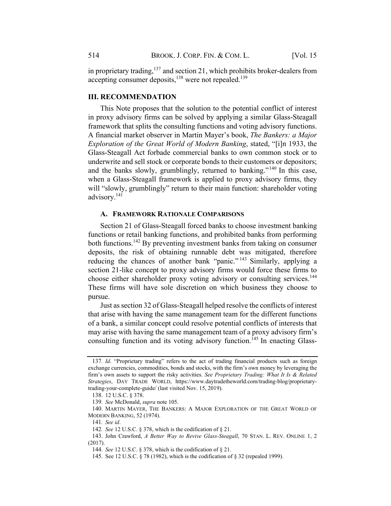in proprietary trading, $137$  and section 21, which prohibits broker-dealers from accepting consumer deposits,<sup>138</sup> were not repealed.<sup>139</sup>

## III. RECOMMENDATION

This Note proposes that the solution to the potential conflict of interest in proxy advisory firms can be solved by applying a similar Glass-Steagall framework that splits the consulting functions and voting advisory functions. A financial market observer in Martin Mayer's book, The Bankers: a Major Exploration of the Great World of Modern Banking, stated, "[i]n 1933, the Glass-Steagall Act forbade commercial banks to own common stock or to underwrite and sell stock or corporate bonds to their customers or depositors; and the banks slowly, grumblingly, returned to banking."<sup>140</sup> In this case, when a Glass-Steagall framework is applied to proxy advisory firms, they will "slowly, grumblingly" return to their main function: shareholder voting advisory.141

## A. FRAMEWORK RATIONALE COMPARISONS

Section 21 of Glass-Steagall forced banks to choose investment banking functions or retail banking functions, and prohibited banks from performing both functions.<sup>142</sup> By preventing investment banks from taking on consumer deposits, the risk of obtaining runnable debt was mitigated, therefore reducing the chances of another bank "panic." <sup>143</sup> Similarly, applying a section 21-like concept to proxy advisory firms would force these firms to choose either shareholder proxy voting advisory or consulting services.<sup>144</sup> These firms will have sole discretion on which business they choose to pursue.

Just assection 32 of Glass-Steagall helped resolve the conflicts of interest that arise with having the same management team for the different functions of a bank, a similar concept could resolve potential conflicts of interests that may arise with having the same management team of a proxy advisory firm's consulting function and its voting advisory function. <sup>145</sup> In enacting Glass-

<sup>137</sup>. Id. "Proprietary trading" refers to the act of trading financial products such as foreign exchange currencies, commodities, bonds and stocks, with the firm's own money by leveraging the firm's own assets to support the risky activities. See Proprietary Trading: What It Is & Related Strategies, DAY TRADE WORLD, https://www.daytradetheworld.com/trading-blog/proprietarytrading-your-complete-guide/ (last visited Nov. 15, 2019).

<sup>138.</sup> 12 U.S.C. § 378.

<sup>139</sup>. See McDonald, supra note 105.

<sup>140.</sup> MARTIN MAYER, THE BANKERS: A MAJOR EXPLORATION OF THE GREAT WORLD OF MODERN BANKING, 52 (1974).

<sup>141</sup>. See id.

<sup>142</sup>. See 12 U.S.C. § 378, which is the codification of § 21.

<sup>143.</sup> John Crawford, A Better Way to Revive Glass-Steagall, 70 STAN. L. REV. ONLINE 1, 2 (2017).

<sup>144</sup>. See 12 U.S.C. § 378, which is the codification of § 21.

<sup>145.</sup> See 12 U.S.C. § 78 (1982), which is the codification of § 32 (repealed 1999).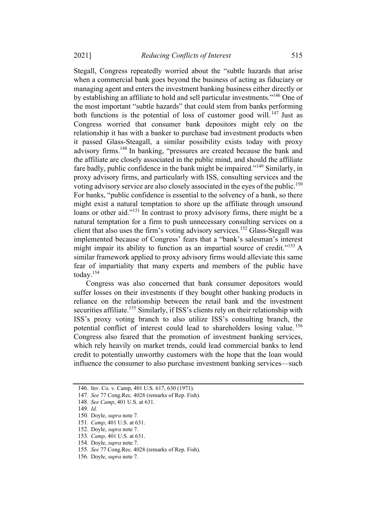Stegall, Congress repeatedly worried about the "subtle hazards that arise when a commercial bank goes beyond the business of acting as fiduciary or managing agent and enters the investment banking business either directly or by establishing an affiliate to hold and sell particular investments."<sup>146</sup> One of the most important "subtle hazards" that could stem from banks performing both functions is the potential of loss of customer good will.<sup>147</sup> Just as Congress worried that consumer bank depositors might rely on the relationship it has with a banker to purchase bad investment products when it passed Glass-Steagall, a similar possibility exists today with proxy advisory firms.<sup>148</sup> In banking, "pressures are created because the bank and the affiliate are closely associated in the public mind, and should the affiliate fare badly, public confidence in the bank might be impaired."<sup>149</sup> Similarly, in proxy advisory firms, and particularly with ISS, consulting services and the voting advisory service are also closely associated in the eyes of the public.<sup>150</sup> For banks, "public confidence is essential to the solvency of a bank, so there might exist a natural temptation to shore up the affiliate through unsound loans or other aid."<sup>151</sup> In contrast to proxy advisory firms, there might be a natural temptation for a firm to push unnecessary consulting services on a client that also uses the firm's voting advisory services.<sup>152</sup> Glass-Stegall was implemented because of Congress' fears that a "bank's salesman's interest might impair its ability to function as an impartial source of credit."<sup>153</sup> A similar framework applied to proxy advisory firms would alleviate this same fear of impartiality that many experts and members of the public have today.154

Congress was also concerned that bank consumer depositors would suffer losses on their investments if they bought other banking products in reliance on the relationship between the retail bank and the investment securities affiliate.<sup>155</sup> Similarly, if ISS's clients rely on their relationship with ISS's proxy voting branch to also utilize ISS's consulting branch, the potential conflict of interest could lead to shareholders losing value.<sup>156</sup> Congress also feared that the promotion of investment banking services, which rely heavily on market trends, could lead commercial banks to lend credit to potentially unworthy customers with the hope that the loan would influence the consumer to also purchase investment banking services—such

154. Doyle, supra note 7.

156. Doyle, supra note 7.

<sup>146.</sup> Inv. Co. v. Camp, 401 U.S. 617, 630 (1971).

<sup>147</sup>. See 77 Cong.Rec. 4028 (remarks of Rep. Fish).

<sup>148</sup>. See Camp, 401 U.S. at 631.

<sup>149</sup>. Id.

<sup>150.</sup> Doyle, supra note 7.

<sup>151</sup>. Camp, 401 U.S. at 631.

<sup>152.</sup> Doyle, supra note 7.

<sup>153</sup>. Camp, 401 U.S. at 631.

<sup>155</sup>. See 77 Cong.Rec. 4028 (remarks of Rep. Fish).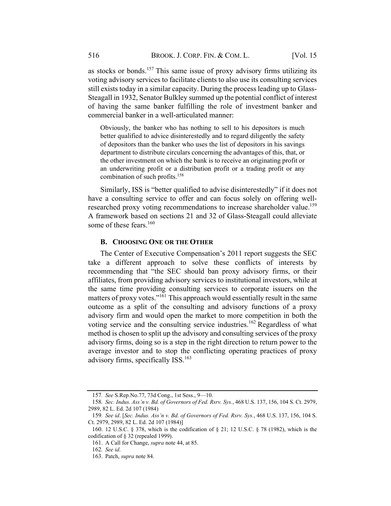as stocks or bonds.<sup>157</sup> This same issue of proxy advisory firms utilizing its voting advisory services to facilitate clients to also use its consulting services still exists today in a similar capacity. During the process leading up to Glass-Steagall in 1932, Senator Bulkley summed up the potential conflict of interest of having the same banker fulfilling the role of investment banker and commercial banker in a well-articulated manner:

Obviously, the banker who has nothing to sell to his depositors is much better qualified to advice disinterestedly and to regard diligently the safety of depositors than the banker who uses the list of depositors in his savings department to distribute circulars concerning the advantages of this, that, or the other investment on which the bank is to receive an originating profit or an underwriting profit or a distribution profit or a trading profit or any combination of such profits.<sup>158</sup>

Similarly, ISS is "better qualified to advise disinterestedly" if it does not have a consulting service to offer and can focus solely on offering wellresearched proxy voting recommendations to increase shareholder value.<sup>159</sup> A framework based on sections 21 and 32 of Glass-Steagall could alleviate some of these fears.<sup>160</sup>

## B. CHOOSING ONE OR THE OTHER

The Center of Executive Compensation's 2011 report suggests the SEC take a different approach to solve these conflicts of interests by recommending that "the SEC should ban proxy advisory firms, or their affiliates, from providing advisory services to institutional investors, while at the same time providing consulting services to corporate issuers on the matters of proxy votes."161 This approach would essentially result in the same outcome as a split of the consulting and advisory functions of a proxy advisory firm and would open the market to more competition in both the voting service and the consulting service industries.<sup>162</sup> Regardless of what method is chosen to split up the advisory and consulting services of the proxy advisory firms, doing so is a step in the right direction to return power to the average investor and to stop the conflicting operating practices of proxy advisory firms, specifically ISS.<sup>163</sup>

<sup>157</sup>. See S.Rep.No.77, 73d Cong., 1st Sess., 9—10.

<sup>158</sup>. Sec. Indus. Ass'n v. Bd. of Governors of Fed. Rsrv. Sys., 468 U.S. 137, 156, 104 S. Ct. 2979, 2989, 82 L. Ed. 2d 107 (1984)

<sup>159</sup>. See id. [Sec. Indus. Ass'n v. Bd. of Governors of Fed. Rsrv. Sys., 468 U.S. 137, 156, 104 S. Ct. 2979, 2989, 82 L. Ed. 2d 107 (1984)]

<sup>160.</sup> 12 U.S.C. § 378, which is the codification of § 21; 12 U.S.C. § 78 (1982), which is the codification of § 32 (repealed 1999).

<sup>161.</sup> A Call for Change, supra note 44, at 85.

<sup>162</sup>. See id.

<sup>163.</sup> Patch, supra note 84.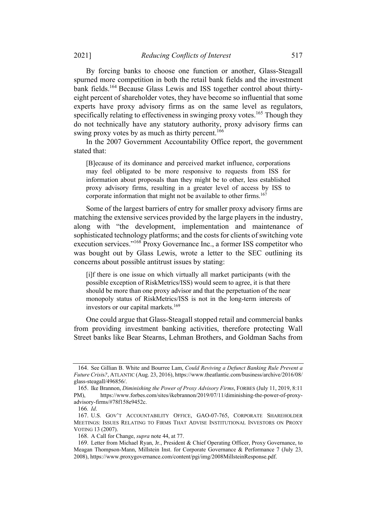By forcing banks to choose one function or another, Glass-Steagall spurned more competition in both the retail bank fields and the investment bank fields.<sup>164</sup> Because Glass Lewis and ISS together control about thirtyeight percent of shareholder votes, they have become so influential that some experts have proxy advisory firms as on the same level as regulators, specifically relating to effectiveness in swinging proxy votes.<sup>165</sup> Though they do not technically have any statutory authority, proxy advisory firms can swing proxy votes by as much as thirty percent.<sup>166</sup>

In the 2007 Government Accountability Office report, the government stated that:

[B]ecause of its dominance and perceived market influence, corporations may feel obligated to be more responsive to requests from ISS for information about proposals than they might be to other, less established proxy advisory firms, resulting in a greater level of access by ISS to corporate information that might not be available to other firms.<sup>167</sup>

Some of the largest barriers of entry for smaller proxy advisory firms are matching the extensive services provided by the large players in the industry, along with "the development, implementation and maintenance of sophisticated technology platforms; and the costs for clients of switching vote execution services."<sup>168</sup> Proxy Governance Inc., a former ISS competitor who was bought out by Glass Lewis, wrote a letter to the SEC outlining its concerns about possible antitrust issues by stating:

[i]f there is one issue on which virtually all market participants (with the possible exception of RiskMetrics/ISS) would seem to agree, it is that there should be more than one proxy advisor and that the perpetuation of the near monopoly status of RiskMetrics/ISS is not in the long-term interests of investors or our capital markets.<sup>169</sup>

One could argue that Glass-Steagall stopped retail and commercial banks from providing investment banking activities, therefore protecting Wall Street banks like Bear Stearns, Lehman Brothers, and Goldman Sachs from

<sup>164.</sup> See Gillian B. White and Bourree Lam, Could Reviving a Defunct Banking Rule Prevent a Future Crisis?, ATLANTIC (Aug. 23, 2016), https://www.theatlantic.com/business/archive/2016/08/ glass-steagall/496856/.

<sup>165.</sup> Ike Brannon, Diminishing the Power of Proxy Advisory Firms, FORBES (July 11, 2019, 8:11 PM), https://www.forbes.com/sites/ikebrannon/2019/07/11/diminishing-the-power-of-proxyadvisory-firms/#78f158e9452c.

<sup>166</sup>. Id.

<sup>167.</sup> U.S. GOV'T ACCOUNTABILITY OFFICE, GAO-07-765, CORPORATE SHAREHOLDER MEETINGS: ISSUES RELATING TO FIRMS THAT ADVISE INSTITUTIONAL INVESTORS ON PROXY VOTING 13 (2007).

<sup>168.</sup> A Call for Change, supra note 44, at 77.

<sup>169.</sup> Letter from Michael Ryan, Jr., President & Chief Operating Officer, Proxy Governance, to Meagan Thompson-Mann, Millstein Inst. for Corporate Governance & Performance 7 (July 23, 2008), https://www.proxygovernance.com/content/pgi/img/2008MillsteinResponse.pdf.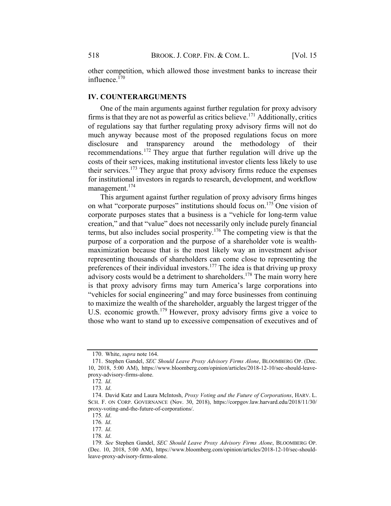other competition, which allowed those investment banks to increase their influence.<sup>170</sup>

#### IV. COUNTERARGUMENTS

One of the main arguments against further regulation for proxy advisory firms is that they are not as powerful as critics believe.<sup>171</sup> Additionally, critics of regulations say that further regulating proxy advisory firms will not do much anyway because most of the proposed regulations focus on more disclosure and transparency around the methodology of their recommendations.<sup>172</sup> They argue that further regulation will drive up the costs of their services, making institutional investor clients less likely to use their services.<sup>173</sup> They argue that proxy advisory firms reduce the expenses for institutional investors in regards to research, development, and workflow management.<sup>174</sup>

This argument against further regulation of proxy advisory firms hinges on what "corporate purposes" institutions should focus on.175 One vision of corporate purposes states that a business is a "vehicle for long-term value creation," and that "value" does not necessarily only include purely financial terms, but also includes social prosperity.<sup>176</sup> The competing view is that the purpose of a corporation and the purpose of a shareholder vote is wealthmaximization because that is the most likely way an investment advisor representing thousands of shareholders can come close to representing the preferences of their individual investors.177 The idea is that driving up proxy advisory costs would be a detriment to shareholders.<sup>178</sup> The main worry here is that proxy advisory firms may turn America's large corporations into "vehicles for social engineering" and may force businesses from continuing to maximize the wealth of the shareholder, arguably the largest trigger of the U.S. economic growth.<sup>179</sup> However, proxy advisory firms give a voice to those who want to stand up to excessive compensation of executives and of

<sup>170.</sup> White, supra note 164.

<sup>171.</sup> Stephen Gandel, SEC Should Leave Proxy Advisory Firms Alone, BLOOMBERG OP. (Dec. 10, 2018, 5:00 AM), https://www.bloomberg.com/opinion/articles/2018-12-10/sec-should-leaveproxy-advisory-firms-alone.

<sup>172</sup>. Id.

<sup>173</sup>. Id.

<sup>174.</sup> David Katz and Laura McIntosh, Proxy Voting and the Future of Corporations, HARV. L. SCH. F. ON CORP. GOVERNANCE (Nov. 30, 2018), https://corpgov.law.harvard.edu/2018/11/30/ proxy-voting-and-the-future-of-corporations/.

<sup>175</sup>. Id.

<sup>176</sup>. Id.

<sup>177</sup>. Id.

<sup>178</sup>. Id.

<sup>179</sup>. See Stephen Gandel, SEC Should Leave Proxy Advisory Firms Alone, BLOOMBERG OP. (Dec. 10, 2018, 5:00 AM), https://www.bloomberg.com/opinion/articles/2018-12-10/sec-shouldleave-proxy-advisory-firms-alone.